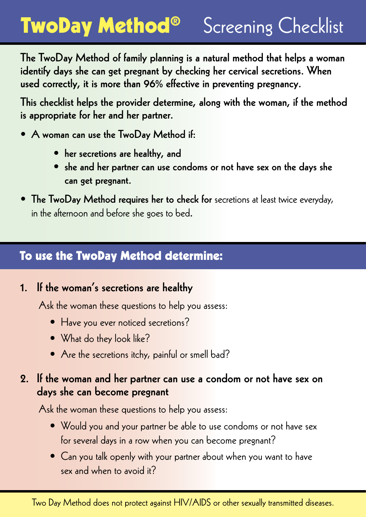### TwoDay Method® Screening Checklist

The TwoDay Method of family planning is a natural method that helps a woman identify days she can get pregnant by checking her cervical secretions. When used correctly, it is more than 96% effective in preventing pregnancy.

This checklist helps the provider determine, along with the woman, if the method is appropriate for her and her partner.

- A woman can use the TwoDay Method if:
	- her secretions are healthy, and
	- she and her partner can use condoms or not have sex on the days she can get pregnant.
- The TwoDay Method requires her to check for secretions at least twice everyday, in the afternoon and before she goes to bed.

#### To use the TwoDay Method determine:

#### 1. If the woman's secretions are healthy

Ask the woman these questions to help you assess:

- Have you ever noticed secretions?
- What do they look like?
- Are the secretions itchy, painful or smell bad?

#### 2. If the woman and her partner can use a condom or not have sex on days she can become pregnant

Ask the woman these questions to help you assess:

- Would you and your partner be able to use condoms or not have sex for several days in a row when you can become pregnant?
- Can you talk openly with your partner about when you want to have sex and when to avoid it?